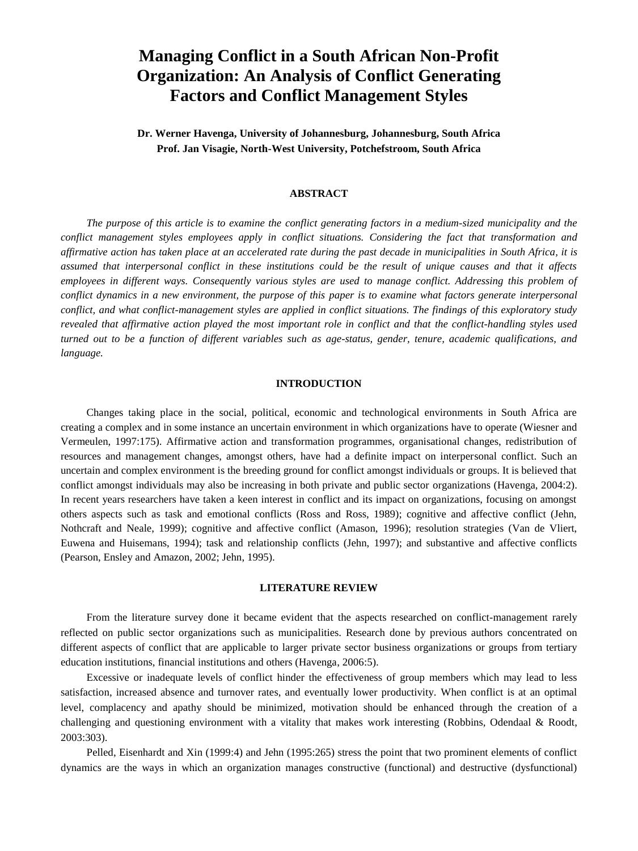# **Managing Conflict in a South African Non-Profit Organization: An Analysis of Conflict Generating Factors and Conflict Management Styles**

**Dr. Werner Havenga, University of Johannesburg, Johannesburg, South Africa Prof. Jan Visagie, North-West University, Potchefstroom, South Africa**

# **ABSTRACT**

*The purpose of this article is to examine the conflict generating factors in a medium-sized municipality and the conflict management styles employees apply in conflict situations. Considering the fact that transformation and affirmative action has taken place at an accelerated rate during the past decade in municipalities in South Africa, it is assumed that interpersonal conflict in these institutions could be the result of unique causes and that it affects employees in different ways. Consequently various styles are used to manage conflict. Addressing this problem of conflict dynamics in a new environment, the purpose of this paper is to examine what factors generate interpersonal conflict, and what conflict-management styles are applied in conflict situations. The findings of this exploratory study revealed that affirmative action played the most important role in conflict and that the conflict-handling styles used turned out to be a function of different variables such as age-status, gender, tenure, academic qualifications, and language.*

# **INTRODUCTION**

Changes taking place in the social, political, economic and technological environments in South Africa are creating a complex and in some instance an uncertain environment in which organizations have to operate (Wiesner and Vermeulen, 1997:175). Affirmative action and transformation programmes, organisational changes, redistribution of resources and management changes, amongst others, have had a definite impact on interpersonal conflict. Such an uncertain and complex environment is the breeding ground for conflict amongst individuals or groups. It is believed that conflict amongst individuals may also be increasing in both private and public sector organizations (Havenga, 2004:2). In recent years researchers have taken a keen interest in conflict and its impact on organizations, focusing on amongst others aspects such as task and emotional conflicts (Ross and Ross, 1989); cognitive and affective conflict (Jehn, Nothcraft and Neale, 1999); cognitive and affective conflict (Amason, 1996); resolution strategies (Van de Vliert, Euwena and Huisemans, 1994); task and relationship conflicts (Jehn, 1997); and substantive and affective conflicts (Pearson, Ensley and Amazon, 2002; Jehn, 1995).

# **LITERATURE REVIEW**

From the literature survey done it became evident that the aspects researched on conflict-management rarely reflected on public sector organizations such as municipalities. Research done by previous authors concentrated on different aspects of conflict that are applicable to larger private sector business organizations or groups from tertiary education institutions, financial institutions and others (Havenga, 2006:5).

Excessive or inadequate levels of conflict hinder the effectiveness of group members which may lead to less satisfaction, increased absence and turnover rates, and eventually lower productivity. When conflict is at an optimal level, complacency and apathy should be minimized, motivation should be enhanced through the creation of a challenging and questioning environment with a vitality that makes work interesting (Robbins, Odendaal & Roodt, 2003:303).

Pelled, Eisenhardt and Xin (1999:4) and Jehn (1995:265) stress the point that two prominent elements of conflict dynamics are the ways in which an organization manages constructive (functional) and destructive (dysfunctional)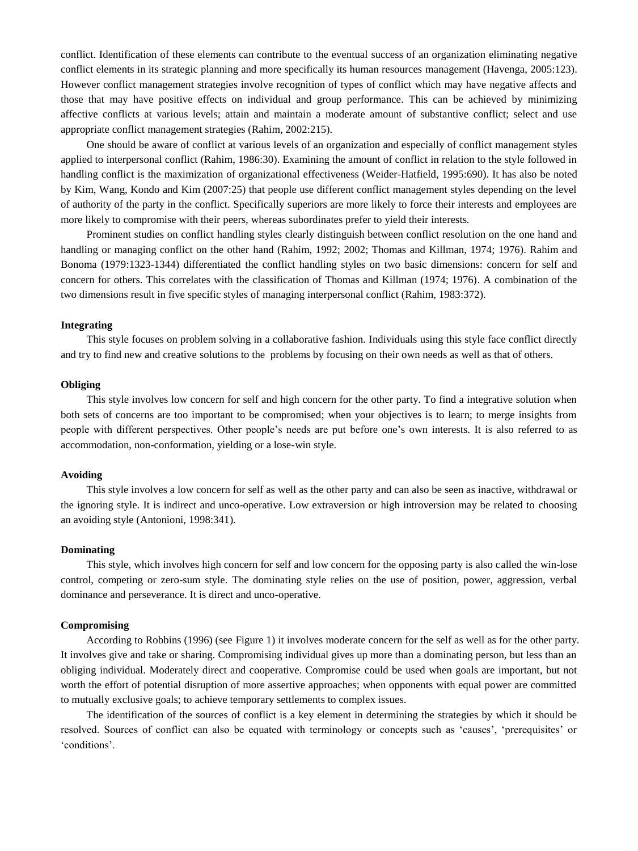conflict. Identification of these elements can contribute to the eventual success of an organization eliminating negative conflict elements in its strategic planning and more specifically its human resources management (Havenga, 2005:123). However conflict management strategies involve recognition of types of conflict which may have negative affects and those that may have positive effects on individual and group performance. This can be achieved by minimizing affective conflicts at various levels; attain and maintain a moderate amount of substantive conflict; select and use appropriate conflict management strategies (Rahim, 2002:215).

One should be aware of conflict at various levels of an organization and especially of conflict management styles applied to interpersonal conflict (Rahim, 1986:30). Examining the amount of conflict in relation to the style followed in handling conflict is the maximization of organizational effectiveness (Weider-Hatfield, 1995:690). It has also be noted by Kim, Wang, Kondo and Kim (2007:25) that people use different conflict management styles depending on the level of authority of the party in the conflict. Specifically superiors are more likely to force their interests and employees are more likely to compromise with their peers, whereas subordinates prefer to yield their interests.

Prominent studies on conflict handling styles clearly distinguish between conflict resolution on the one hand and handling or managing conflict on the other hand (Rahim, 1992; 2002; Thomas and Killman, 1974; 1976). Rahim and Bonoma (1979:1323-1344) differentiated the conflict handling styles on two basic dimensions: concern for self and concern for others. This correlates with the classification of Thomas and Killman (1974; 1976). A combination of the two dimensions result in five specific styles of managing interpersonal conflict (Rahim, 1983:372).

# **Integrating**

This style focuses on problem solving in a collaborative fashion. Individuals using this style face conflict directly and try to find new and creative solutions to the problems by focusing on their own needs as well as that of others.

# **Obliging**

This style involves low concern for self and high concern for the other party. To find a integrative solution when both sets of concerns are too important to be compromised; when your objectives is to learn; to merge insights from people with different perspectives. Other people"s needs are put before one"s own interests. It is also referred to as accommodation, non-conformation, yielding or a lose-win style.

# **Avoiding**

This style involves a low concern for self as well as the other party and can also be seen as inactive, withdrawal or the ignoring style. It is indirect and unco-operative. Low extraversion or high introversion may be related to choosing an avoiding style (Antonioni, 1998:341).

# **Dominating**

This style, which involves high concern for self and low concern for the opposing party is also called the win-lose control, competing or zero-sum style. The dominating style relies on the use of position, power, aggression, verbal dominance and perseverance. It is direct and unco-operative.

# **Compromising**

According to Robbins (1996) (see Figure 1) it involves moderate concern for the self as well as for the other party. It involves give and take or sharing. Compromising individual gives up more than a dominating person, but less than an obliging individual. Moderately direct and cooperative. Compromise could be used when goals are important, but not worth the effort of potential disruption of more assertive approaches; when opponents with equal power are committed to mutually exclusive goals; to achieve temporary settlements to complex issues.

The identification of the sources of conflict is a key element in determining the strategies by which it should be resolved. Sources of conflict can also be equated with terminology or concepts such as "causes", "prerequisites" or "conditions".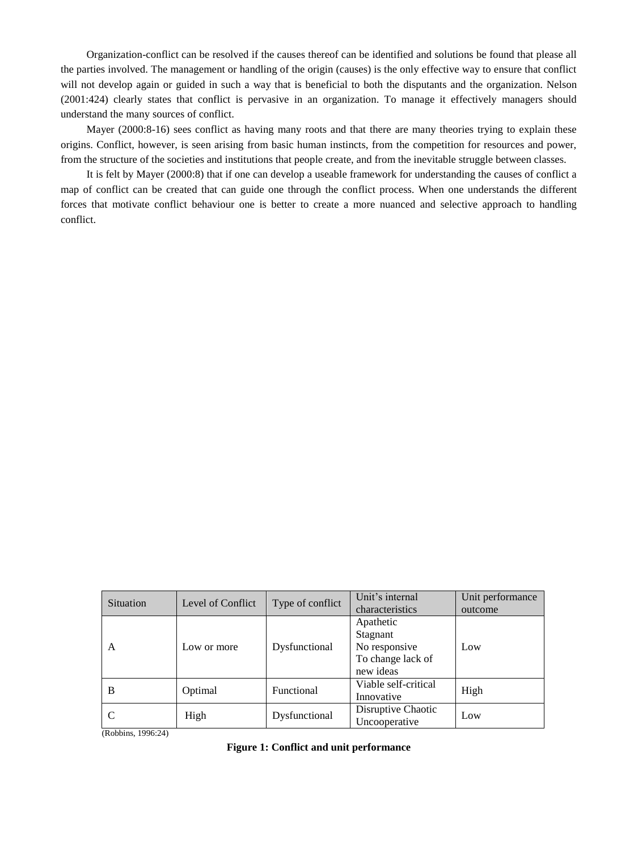Organization-conflict can be resolved if the causes thereof can be identified and solutions be found that please all the parties involved. The management or handling of the origin (causes) is the only effective way to ensure that conflict will not develop again or guided in such a way that is beneficial to both the disputants and the organization. Nelson (2001:424) clearly states that conflict is pervasive in an organization. To manage it effectively managers should understand the many sources of conflict.

Mayer (2000:8-16) sees conflict as having many roots and that there are many theories trying to explain these origins. Conflict, however, is seen arising from basic human instincts, from the competition for resources and power, from the structure of the societies and institutions that people create, and from the inevitable struggle between classes.

It is felt by Mayer (2000:8) that if one can develop a useable framework for understanding the causes of conflict a map of conflict can be created that can guide one through the conflict process. When one understands the different forces that motivate conflict behaviour one is better to create a more nuanced and selective approach to handling conflict.

| Situation | Level of Conflict | Type of conflict | Unit's internal<br>characteristics                                       | Unit performance<br>outcome |
|-----------|-------------------|------------------|--------------------------------------------------------------------------|-----------------------------|
| A         | Low or more       | Dysfunctional    | Apathetic<br>Stagnant<br>No responsive<br>To change lack of<br>new ideas | Low                         |
| B         | Optimal           | Functional       | Viable self-critical<br>Innovative                                       | High                        |
|           | High              | Dysfunctional    | Disruptive Chaotic<br>Uncooperative                                      | Low                         |

(Robbins, 1996:24)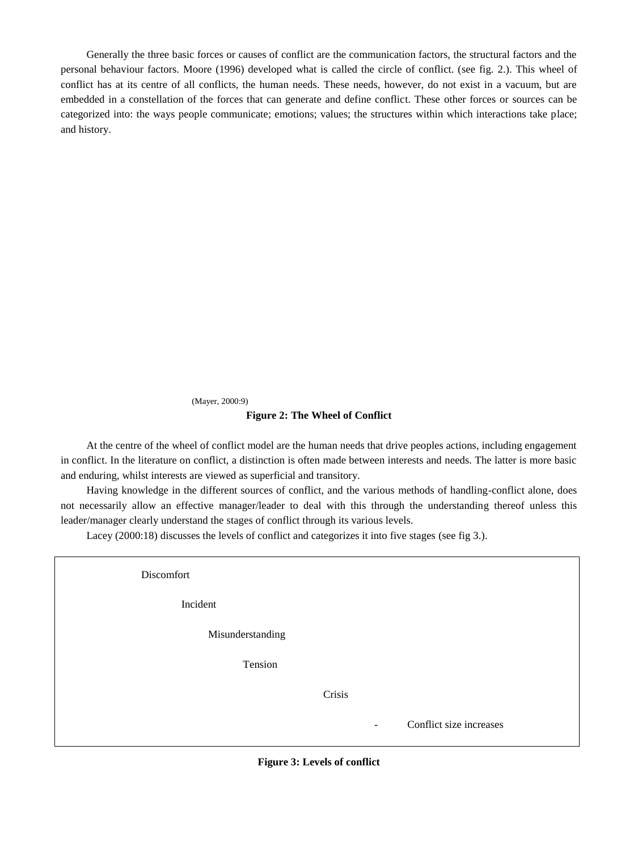Generally the three basic forces or causes of conflict are the communication factors, the structural factors and the personal behaviour factors. Moore (1996) developed what is called the circle of conflict. (see fig. 2.). This wheel of conflict has at its centre of all conflicts, the human needs. These needs, however, do not exist in a vacuum, but are embedded in a constellation of the forces that can generate and define conflict. These other forces or sources can be categorized into: the ways people communicate; emotions; values; the structures within which interactions take place; and history.

(Mayer, 2000:9)

# **Figure 2: The Wheel of Conflict**

At the centre of the wheel of conflict model are the human needs that drive peoples actions, including engagement in conflict. In the literature on conflict, a distinction is often made between interests and needs. The latter is more basic and enduring, whilst interests are viewed as superficial and transitory.

Having knowledge in the different sources of conflict, and the various methods of handling-conflict alone, does not necessarily allow an effective manager/leader to deal with this through the understanding thereof unless this leader/manager clearly understand the stages of conflict through its various levels.

Lacey (2000:18) discusses the levels of conflict and categorizes it into five stages (see fig 3.).

Discomfort

Incident

Misunderstanding

Tension

**Crisis** Crisis

Conflict size increases

**Figure 3: Levels of conflict**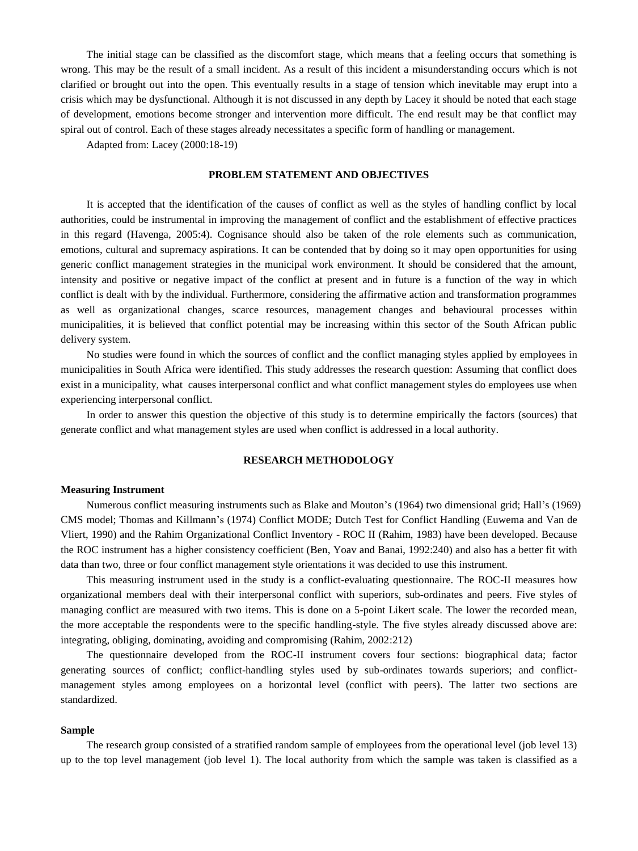The initial stage can be classified as the discomfort stage, which means that a feeling occurs that something is wrong. This may be the result of a small incident. As a result of this incident a misunderstanding occurs which is not clarified or brought out into the open. This eventually results in a stage of tension which inevitable may erupt into a crisis which may be dysfunctional. Although it is not discussed in any depth by Lacey it should be noted that each stage of development, emotions become stronger and intervention more difficult. The end result may be that conflict may spiral out of control. Each of these stages already necessitates a specific form of handling or management.

Adapted from: Lacey (2000:18-19)

# **PROBLEM STATEMENT AND OBJECTIVES**

It is accepted that the identification of the causes of conflict as well as the styles of handling conflict by local authorities, could be instrumental in improving the management of conflict and the establishment of effective practices in this regard (Havenga, 2005:4). Cognisance should also be taken of the role elements such as communication, emotions, cultural and supremacy aspirations. It can be contended that by doing so it may open opportunities for using generic conflict management strategies in the municipal work environment. It should be considered that the amount, intensity and positive or negative impact of the conflict at present and in future is a function of the way in which conflict is dealt with by the individual. Furthermore, considering the affirmative action and transformation programmes as well as organizational changes, scarce resources, management changes and behavioural processes within municipalities, it is believed that conflict potential may be increasing within this sector of the South African public delivery system.

No studies were found in which the sources of conflict and the conflict managing styles applied by employees in municipalities in South Africa were identified. This study addresses the research question: Assuming that conflict does exist in a municipality, what causes interpersonal conflict and what conflict management styles do employees use when experiencing interpersonal conflict.

In order to answer this question the objective of this study is to determine empirically the factors (sources) that generate conflict and what management styles are used when conflict is addressed in a local authority.

# **RESEARCH METHODOLOGY**

#### **Measuring Instrument**

Numerous conflict measuring instruments such as Blake and Mouton"s (1964) two dimensional grid; Hall"s (1969) CMS model; Thomas and Killmann"s (1974) Conflict MODE; Dutch Test for Conflict Handling (Euwema and Van de Vliert, 1990) and the Rahim Organizational Conflict Inventory - ROC II (Rahim, 1983) have been developed. Because the ROC instrument has a higher consistency coefficient (Ben, Yoav and Banai, 1992:240) and also has a better fit with data than two, three or four conflict management style orientations it was decided to use this instrument.

This measuring instrument used in the study is a conflict-evaluating questionnaire. The ROC-II measures how organizational members deal with their interpersonal conflict with superiors, sub-ordinates and peers. Five styles of managing conflict are measured with two items. This is done on a 5-point Likert scale. The lower the recorded mean, the more acceptable the respondents were to the specific handling-style. The five styles already discussed above are: integrating, obliging, dominating, avoiding and compromising (Rahim, 2002:212)

The questionnaire developed from the ROC-II instrument covers four sections: biographical data; factor generating sources of conflict; conflict-handling styles used by sub-ordinates towards superiors; and conflictmanagement styles among employees on a horizontal level (conflict with peers). The latter two sections are standardized.

# **Sample**

The research group consisted of a stratified random sample of employees from the operational level (job level 13) up to the top level management (job level 1). The local authority from which the sample was taken is classified as a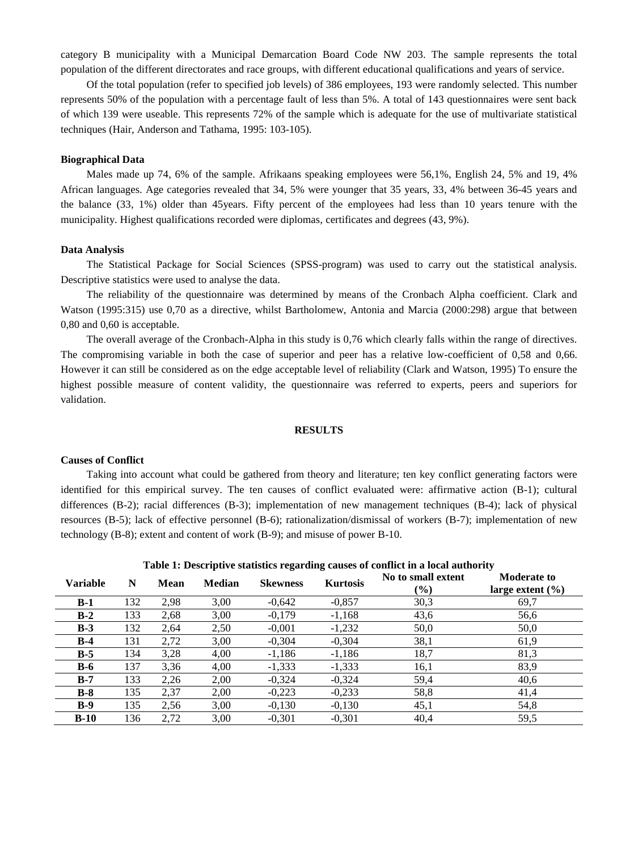category B municipality with a Municipal Demarcation Board Code NW 203. The sample represents the total population of the different directorates and race groups, with different educational qualifications and years of service.

Of the total population (refer to specified job levels) of 386 employees, 193 were randomly selected. This number represents 50% of the population with a percentage fault of less than 5%. A total of 143 questionnaires were sent back of which 139 were useable. This represents 72% of the sample which is adequate for the use of multivariate statistical techniques (Hair, Anderson and Tathama, 1995: 103-105).

# **Biographical Data**

Males made up 74, 6% of the sample. Afrikaans speaking employees were 56,1%, English 24, 5% and 19, 4% African languages. Age categories revealed that 34, 5% were younger that 35 years, 33, 4% between 36-45 years and the balance (33, 1%) older than 45years. Fifty percent of the employees had less than 10 years tenure with the municipality. Highest qualifications recorded were diplomas, certificates and degrees (43, 9%).

# **Data Analysis**

The Statistical Package for Social Sciences (SPSS-program) was used to carry out the statistical analysis. Descriptive statistics were used to analyse the data.

The reliability of the questionnaire was determined by means of the Cronbach Alpha coefficient. Clark and Watson (1995:315) use 0,70 as a directive, whilst Bartholomew, Antonia and Marcia (2000:298) argue that between 0,80 and 0,60 is acceptable.

The overall average of the Cronbach-Alpha in this study is 0,76 which clearly falls within the range of directives. The compromising variable in both the case of superior and peer has a relative low-coefficient of 0,58 and 0,66. However it can still be considered as on the edge acceptable level of reliability (Clark and Watson, 1995) To ensure the highest possible measure of content validity, the questionnaire was referred to experts, peers and superiors for validation.

# **RESULTS**

# **Causes of Conflict**

Taking into account what could be gathered from theory and literature; ten key conflict generating factors were identified for this empirical survey. The ten causes of conflict evaluated were: affirmative action (B-1); cultural differences (B-2); racial differences (B-3); implementation of new management techniques (B-4); lack of physical resources (B-5); lack of effective personnel (B-6); rationalization/dismissal of workers (B-7); implementation of new technology (B-8); extent and content of work (B-9); and misuse of power B-10.

|                 |     |      |        | -----           | ------          |                              |                                            |
|-----------------|-----|------|--------|-----------------|-----------------|------------------------------|--------------------------------------------|
| <b>Variable</b> | N   | Mean | Median | <b>Skewness</b> | <b>Kurtosis</b> | No to small extent<br>$(\%)$ | <b>Moderate to</b><br>large extent $(\% )$ |
| $B-1$           | 132 | 2,98 | 3,00   | $-0.642$        | $-0,857$        | 30,3                         | 69,7                                       |
| $B-2$           | 133 | 2,68 | 3,00   | $-0.179$        | $-1,168$        | 43,6                         | 56,6                                       |
| $B-3$           | 132 | 2,64 | 2,50   | $-0,001$        | $-1,232$        | 50,0                         | 50,0                                       |
| $B-4$           | 131 | 2.72 | 3,00   | $-0.304$        | $-0,304$        | 38,1                         | 61,9                                       |
| $B-5$           | 134 | 3,28 | 4,00   | $-1,186$        | $-1,186$        | 18,7                         | 81,3                                       |
| $B-6$           | 137 | 3,36 | 4,00   | $-1,333$        | $-1,333$        | 16,1                         | 83,9                                       |
| $B-7$           | 133 | 2,26 | 2,00   | $-0,324$        | $-0,324$        | 59,4                         | 40,6                                       |
| $B-8$           | 135 | 2,37 | 2,00   | $-0.223$        | $-0,233$        | 58,8                         | 41,4                                       |
| $B-9$           | 135 | 2,56 | 3,00   | $-0,130$        | $-0,130$        | 45,1                         | 54,8                                       |
| $B-10$          | 136 | 2.72 | 3,00   | $-0,301$        | $-0,301$        | 40,4                         | 59,5                                       |

**Table 1: Descriptive statistics regarding causes of conflict in a local authority**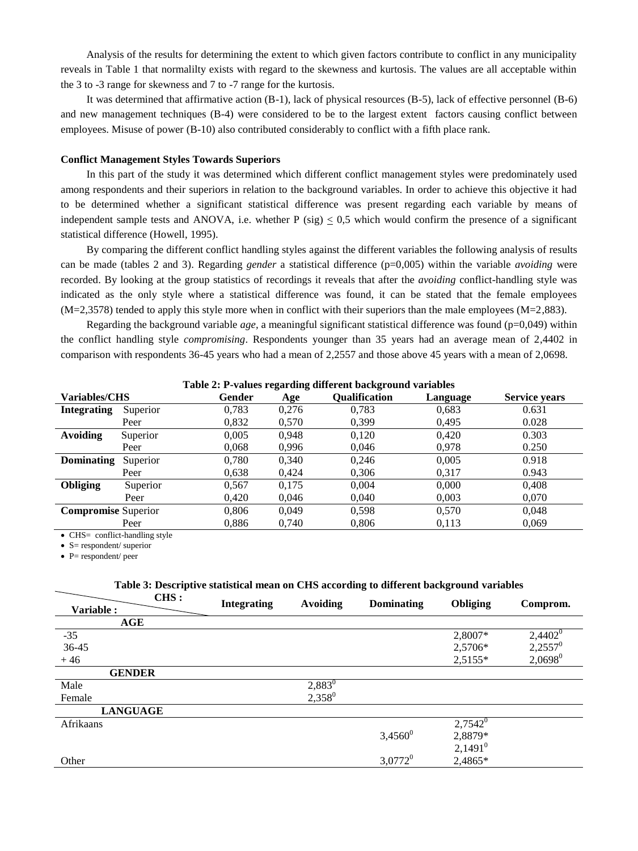Analysis of the results for determining the extent to which given factors contribute to conflict in any municipality reveals in Table 1 that normalilty exists with regard to the skewness and kurtosis. The values are all acceptable within the 3 to -3 range for skewness and 7 to -7 range for the kurtosis.

It was determined that affirmative action (B-1), lack of physical resources (B-5), lack of effective personnel (B-6) and new management techniques (B-4) were considered to be to the largest extent factors causing conflict between employees. Misuse of power (B-10) also contributed considerably to conflict with a fifth place rank.

# **Conflict Management Styles Towards Superiors**

In this part of the study it was determined which different conflict management styles were predominately used among respondents and their superiors in relation to the background variables. In order to achieve this objective it had to be determined whether a significant statistical difference was present regarding each variable by means of independent sample tests and ANOVA, i.e. whether  $P$  (sig)  $< 0.5$  which would confirm the presence of a significant statistical difference (Howell, 1995).

By comparing the different conflict handling styles against the different variables the following analysis of results can be made (tables 2 and 3). Regarding *gender* a statistical difference (p=0,005) within the variable *avoiding* were recorded. By looking at the group statistics of recordings it reveals that after the *avoiding* conflict-handling style was indicated as the only style where a statistical difference was found, it can be stated that the female employees  $(M=2,3578)$  tended to apply this style more when in conflict with their superiors than the male employees  $(M=2,883)$ .

Regarding the background variable *age*, a meaningful significant statistical difference was found  $(p=0,049)$  within the conflict handling style *compromising*. Respondents younger than 35 years had an average mean of 2,4402 in comparison with respondents 36-45 years who had a mean of 2,2557 and those above 45 years with a mean of 2,0698.

| Table 2: P-values regarding different background variables |          |        |       |                      |          |                      |
|------------------------------------------------------------|----------|--------|-------|----------------------|----------|----------------------|
| <b>Variables/CHS</b>                                       |          | Gender | Age   | <b>Oualification</b> | Language | <b>Service years</b> |
| <b>Integrating</b>                                         | Superior | 0,783  | 0,276 | 0.783                | 0.683    | 0.631                |
|                                                            | Peer     | 0,832  | 0.570 | 0.399                | 0.495    | 0.028                |
| <b>Avoiding</b>                                            | Superior | 0.005  | 0.948 | 0,120                | 0.420    | 0.303                |
|                                                            | Peer     | 0,068  | 0,996 | 0,046                | 0.978    | 0.250                |
| <b>Dominating</b>                                          | Superior | 0.780  | 0.340 | 0.246                | 0.005    | 0.918                |
|                                                            | Peer     | 0,638  | 0.424 | 0,306                | 0.317    | 0.943                |
| <b>Obliging</b>                                            | Superior | 0.567  | 0,175 | 0.004                | 0.000    | 0,408                |
|                                                            | Peer     | 0.420  | 0.046 | 0,040                | 0,003    | 0,070                |
| <b>Compromise Superior</b>                                 |          | 0.806  | 0.049 | 0.598                | 0.570    | 0.048                |
|                                                            | Peer     | 0.886  | 0,740 | 0.806                | 0,113    | 0,069                |

**Table 2: P-values regarding different background variables**

• CHS= conflict-handling style

 $\bullet$  S = respondent/ superior

 $\bullet$  P= respondent/ peer

#### **Table 3: Descriptive statistical mean on CHS according to different background variables CHS :**

| vw.             | <b>Integrating</b> | <b>Avoiding</b> | Dominating            | Obliging   | Comprom.   |
|-----------------|--------------------|-----------------|-----------------------|------------|------------|
| Variable:       |                    |                 |                       |            |            |
| AGE             |                    |                 |                       |            |            |
| $-35$           |                    |                 |                       | 2,8007*    | $2,4402^0$ |
| 36-45           |                    |                 |                       | 2,5706*    | $2,2557^0$ |
| $+46$           |                    |                 |                       | 2,5155*    | $2,0698^0$ |
| <b>GENDER</b>   |                    |                 |                       |            |            |
| Male            |                    | $2,883^0$       |                       |            |            |
| Female          |                    | $2,358^0$       |                       |            |            |
| <b>LANGUAGE</b> |                    |                 |                       |            |            |
| Afrikaans       |                    |                 |                       | $2,7542^0$ |            |
|                 |                    |                 | $3,4560$ <sup>0</sup> | 2,8879*    |            |
|                 |                    |                 |                       | $2,1491^0$ |            |
| Other           |                    |                 | $3,0772$ <sup>0</sup> | 2,4865*    |            |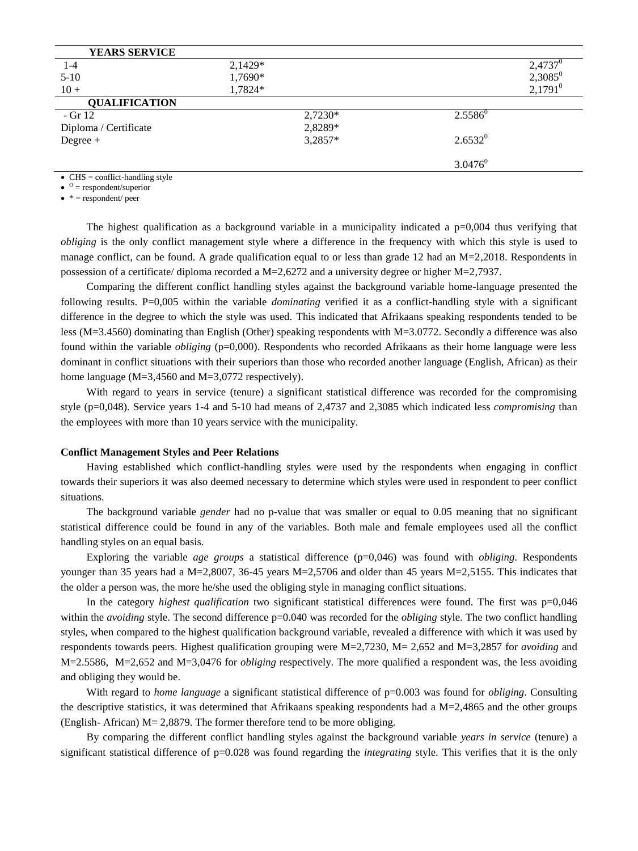| <b>YEARS SERVICE</b>  |         |         |            |            |
|-----------------------|---------|---------|------------|------------|
| $1 - 4$               | 2,1429* |         |            | $2,4737^0$ |
| $5-10$                | 1,7690* |         |            | $2,3085^0$ |
| $10 +$                | 1,7824* |         |            | $2,1791^0$ |
| <b>QUALIFICATION</b>  |         |         |            |            |
| $-$ Gr 12             |         | 2,7230* | $2.5586^0$ |            |
| Diploma / Certificate |         | 2,8289* |            |            |
| $Degree +$            |         | 3,2857* | $2.6532^0$ |            |
|                       |         |         | $3.0476^0$ |            |

 $\bullet$  CHS = conflict-handling style

 $\bullet$   $\circ$  = respondent/superior

 $\bullet$  \* = respondent/ peer

The highest qualification as a background variable in a municipality indicated a  $p=0.004$  thus verifying that *obliging* is the only conflict management style where a difference in the frequency with which this style is used to manage conflict, can be found. A grade qualification equal to or less than grade 12 had an M=2,2018. Respondents in possession of a certificate/ diploma recorded a M=2,6272 and a university degree or higher M=2,7937.

Comparing the different conflict handling styles against the background variable home-language presented the following results. P=0,005 within the variable *dominating* verified it as a conflict-handling style with a significant difference in the degree to which the style was used. This indicated that Afrikaans speaking respondents tended to be less (M=3.4560) dominating than English (Other) speaking respondents with M=3.0772. Secondly a difference was also found within the variable *obliging* (p=0,000). Respondents who recorded Afrikaans as their home language were less dominant in conflict situations with their superiors than those who recorded another language (English, African) as their home language (M=3,4560 and M=3,0772 respectively).

With regard to years in service (tenure) a significant statistical difference was recorded for the compromising style (p=0,048). Service years 1-4 and 5-10 had means of 2,4737 and 2,3085 which indicated less *compromising* than the employees with more than 10 years service with the municipality.

# **Conflict Management Styles and Peer Relations**

Having established which conflict-handling styles were used by the respondents when engaging in conflict towards their superiors it was also deemed necessary to determine which styles were used in respondent to peer conflict situations.

The background variable *gender* had no p-value that was smaller or equal to 0.05 meaning that no significant statistical difference could be found in any of the variables. Both male and female employees used all the conflict handling styles on an equal basis.

Exploring the variable *age groups* a statistical difference (p=0,046) was found with *obliging*. Respondents younger than 35 years had a M=2,8007, 36-45 years M=2,5706 and older than 45 years M=2,5155. This indicates that the older a person was, the more he/she used the obliging style in managing conflict situations.

In the category *highest qualification* two significant statistical differences were found. The first was p=0,046 within the *avoiding* style. The second difference p=0.040 was recorded for the *obliging* style. The two conflict handling styles, when compared to the highest qualification background variable, revealed a difference with which it was used by respondents towards peers. Highest qualification grouping were M=2,7230, M= 2,652 and M=3,2857 for *avoiding* and M=2.5586, M=2,652 and M=3,0476 for *obliging* respectively. The more qualified a respondent was, the less avoiding and obliging they would be.

With regard to *home language* a significant statistical difference of p=0.003 was found for *obliging*. Consulting the descriptive statistics, it was determined that Afrikaans speaking respondents had a  $M=2,4865$  and the other groups (English- African) M= 2,8879. The former therefore tend to be more obliging.

By comparing the different conflict handling styles against the background variable *years in service* (tenure) a significant statistical difference of p=0.028 was found regarding the *integrating* style. This verifies that it is the only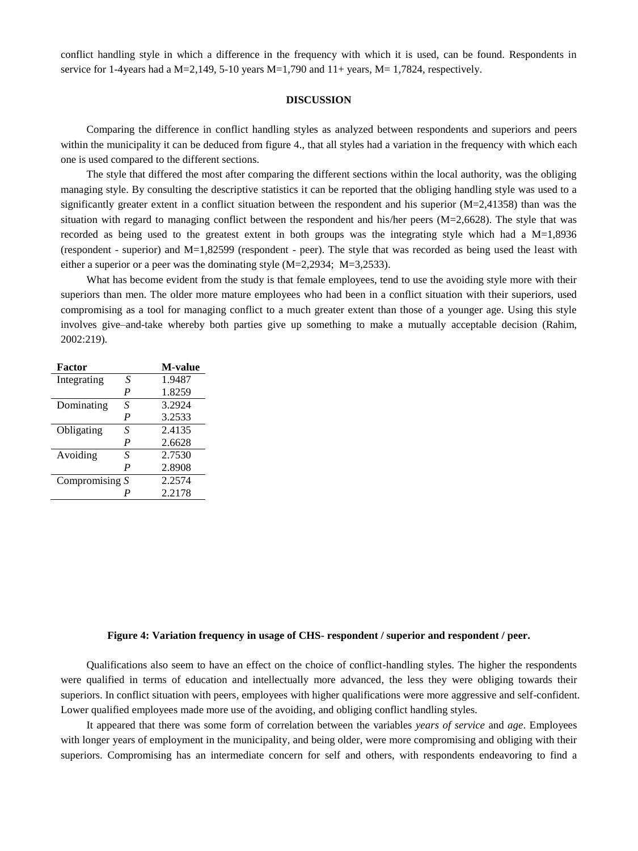conflict handling style in which a difference in the frequency with which it is used, can be found. Respondents in service for 1-4years had a M=2,149, 5-10 years M=1,790 and 11+ years, M= 1,7824, respectively.

#### **DISCUSSION**

Comparing the difference in conflict handling styles as analyzed between respondents and superiors and peers within the municipality it can be deduced from figure 4., that all styles had a variation in the frequency with which each one is used compared to the different sections.

The style that differed the most after comparing the different sections within the local authority, was the obliging managing style. By consulting the descriptive statistics it can be reported that the obliging handling style was used to a significantly greater extent in a conflict situation between the respondent and his superior  $(M=2,41358)$  than was the situation with regard to managing conflict between the respondent and his/her peers (M=2,6628). The style that was recorded as being used to the greatest extent in both groups was the integrating style which had a M=1,8936 (respondent - superior) and M=1,82599 (respondent - peer). The style that was recorded as being used the least with either a superior or a peer was the dominating style (M=2,2934; M=3,2533).

What has become evident from the study is that female employees, tend to use the avoiding style more with their superiors than men. The older more mature employees who had been in a conflict situation with their superiors, used compromising as a tool for managing conflict to a much greater extent than those of a younger age. Using this style involves give–and-take whereby both parties give up something to make a mutually acceptable decision (Rahim, 2002:219).

| Factor           |                  | <b>M-value</b> |
|------------------|------------------|----------------|
| Integrating      | S                | 1.9487         |
|                  | P                | 1.8259         |
| Dominating       | S                | 3.2924         |
|                  | P                | 3.2533         |
| Obligating       | S                | 2.4135         |
|                  | $\boldsymbol{P}$ | 2.6628         |
| Avoiding         | S                | 2.7530         |
|                  | P                | 2.8908         |
| Compromising $S$ |                  | 2.2574         |
|                  |                  | 2.2178         |

#### **Figure 4: Variation frequency in usage of CHS- respondent / superior and respondent / peer.**

Qualifications also seem to have an effect on the choice of conflict-handling styles. The higher the respondents were qualified in terms of education and intellectually more advanced, the less they were obliging towards their superiors. In conflict situation with peers, employees with higher qualifications were more aggressive and self-confident. Lower qualified employees made more use of the avoiding, and obliging conflict handling styles.

It appeared that there was some form of correlation between the variables *years of service* and *age*. Employees with longer years of employment in the municipality, and being older, were more compromising and obliging with their superiors. Compromising has an intermediate concern for self and others, with respondents endeavoring to find a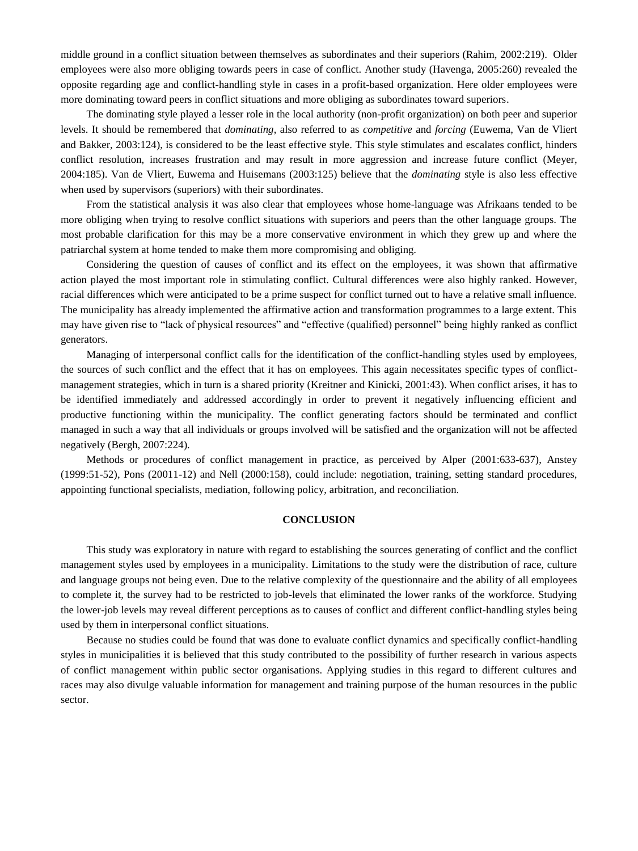middle ground in a conflict situation between themselves as subordinates and their superiors (Rahim, 2002:219). Older employees were also more obliging towards peers in case of conflict. Another study (Havenga, 2005:260) revealed the opposite regarding age and conflict-handling style in cases in a profit-based organization. Here older employees were more dominating toward peers in conflict situations and more obliging as subordinates toward superiors.

The dominating style played a lesser role in the local authority (non-profit organization) on both peer and superior levels. It should be remembered that *dominating*, also referred to as *competitive* and *forcing* (Euwema, Van de Vliert and Bakker, 2003:124), is considered to be the least effective style. This style stimulates and escalates conflict, hinders conflict resolution, increases frustration and may result in more aggression and increase future conflict (Meyer, 2004:185). Van de Vliert, Euwema and Huisemans (2003:125) believe that the *dominating* style is also less effective when used by supervisors (superiors) with their subordinates.

From the statistical analysis it was also clear that employees whose home-language was Afrikaans tended to be more obliging when trying to resolve conflict situations with superiors and peers than the other language groups. The most probable clarification for this may be a more conservative environment in which they grew up and where the patriarchal system at home tended to make them more compromising and obliging.

Considering the question of causes of conflict and its effect on the employees, it was shown that affirmative action played the most important role in stimulating conflict. Cultural differences were also highly ranked. However, racial differences which were anticipated to be a prime suspect for conflict turned out to have a relative small influence. The municipality has already implemented the affirmative action and transformation programmes to a large extent. This may have given rise to "lack of physical resources" and "effective (qualified) personnel" being highly ranked as conflict generators.

Managing of interpersonal conflict calls for the identification of the conflict-handling styles used by employees, the sources of such conflict and the effect that it has on employees. This again necessitates specific types of conflictmanagement strategies, which in turn is a shared priority (Kreitner and Kinicki, 2001:43). When conflict arises, it has to be identified immediately and addressed accordingly in order to prevent it negatively influencing efficient and productive functioning within the municipality. The conflict generating factors should be terminated and conflict managed in such a way that all individuals or groups involved will be satisfied and the organization will not be affected negatively (Bergh, 2007:224).

Methods or procedures of conflict management in practice, as perceived by Alper (2001:633-637), Anstey (1999:51-52), Pons (20011-12) and Nell (2000:158), could include: negotiation, training, setting standard procedures, appointing functional specialists, mediation, following policy, arbitration, and reconciliation.

# **CONCLUSION**

This study was exploratory in nature with regard to establishing the sources generating of conflict and the conflict management styles used by employees in a municipality. Limitations to the study were the distribution of race, culture and language groups not being even. Due to the relative complexity of the questionnaire and the ability of all employees to complete it, the survey had to be restricted to job-levels that eliminated the lower ranks of the workforce. Studying the lower-job levels may reveal different perceptions as to causes of conflict and different conflict-handling styles being used by them in interpersonal conflict situations.

Because no studies could be found that was done to evaluate conflict dynamics and specifically conflict-handling styles in municipalities it is believed that this study contributed to the possibility of further research in various aspects of conflict management within public sector organisations. Applying studies in this regard to different cultures and races may also divulge valuable information for management and training purpose of the human resources in the public sector.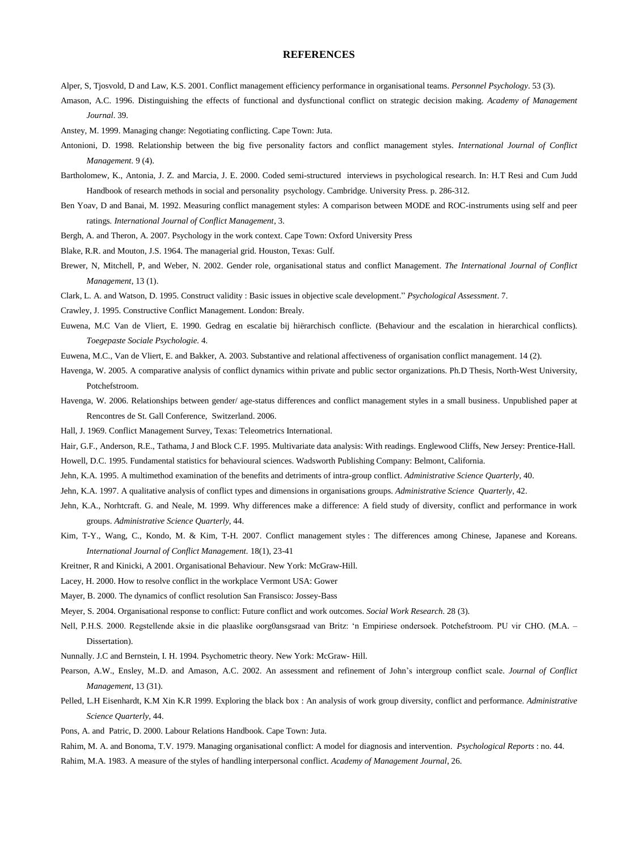#### **REFERENCES**

- Alper, S, Tjosvold, D and Law, K.S. 2001. Conflict management efficiency performance in organisational teams. *Personnel Psychology*. 53 (3).
- Amason, A.C. 1996. Distinguishing the effects of functional and dysfunctional conflict on strategic decision making. *Academy of Management Journal*. 39.
- Anstey, M. 1999. Managing change: Negotiating conflicting. Cape Town: Juta.
- Antonioni, D. 1998. Relationship between the big five personality factors and conflict management styles. *International Journal of Conflict Management.* 9 (4).
- Bartholomew, K., Antonia, J. Z. and Marcia, J. E. 2000. Coded semi-structured interviews in psychological research. In: H.T Resi and Cum Judd Handbook of research methods in social and personality psychology. Cambridge. University Press. p. 286-312.
- Ben Yoav, D and Banai, M. 1992. Measuring conflict management styles: A comparison between MODE and ROC-instruments using self and peer ratings*. International Journal of Conflict Management*, 3.
- Bergh, A. and Theron, A. 2007. Psychology in the work context. Cape Town: Oxford University Press
- Blake, R.R. and Mouton, J.S. 1964. The managerial grid. Houston, Texas: Gulf.
- Brewer, N, Mitchell, P, and Weber, N. 2002. Gender role, organisational status and conflict Management. *The International Journal of Conflict Management*, 13 (1).
- Clark, L. A. and Watson, D. 1995. Construct validity : Basic issues in objective scale development." *Psychological Assessment*. 7.
- Crawley, J. 1995. Constructive Conflict Management. London: Brealy.
- Euwena, M.C Van de Vliert, E. 1990*.* Gedrag en escalatie bij hiërarchisch conflicte. (Behaviour and the escalation in hierarchical conflicts). *Toegepaste Sociale Psychologie.* 4.
- Euwena, M.C., Van de Vliert, E. and Bakker, A. 2003. Substantive and relational affectiveness of organisation conflict management. 14 (2).
- Havenga, W. 2005. A comparative analysis of conflict dynamics within private and public sector organizations. Ph.D Thesis, North-West University, Potchefstroom.
- Havenga, W. 2006. Relationships between gender/ age-status differences and conflict management styles in a small business. Unpublished paper at Rencontres de St. Gall Conference, Switzerland. 2006.
- Hall, J. 1969. Conflict Management Survey, Texas: Teleometrics International.
- Hair, G.F., Anderson, R.E., Tathama, J and Block C.F. 1995. Multivariate data analysis: With readings. Englewood Cliffs, New Jersey: Prentice-Hall.
- Howell, D.C. 1995. Fundamental statistics for behavioural sciences. Wadsworth Publishing Company: Belmont, California.
- Jehn, K.A. 1995. A multimethod examination of the benefits and detriments of intra-group conflict. *Administrative Science Quarterly*, 40.
- Jehn, K.A. 1997. A qualitative analysis of conflict types and dimensions in organisations groups. *Administrative Science Quarterly*, 42.
- Jehn, K.A., Norhtcraft. G. and Neale, M. 1999. Why differences make a difference: A field study of diversity, conflict and performance in work groups. *Administrative Science Quarterly*, 44.
- Kim, T-Y., Wang, C., Kondo, M. & Kim, T-H. 2007. Conflict management styles : The differences among Chinese, Japanese and Koreans. *International Journal of Conflict Management.* 18(1), 23-41
- Kreitner, R and Kinicki, A 2001. Organisational Behaviour. New York: McGraw-Hill.
- Lacey, H. 2000. How to resolve conflict in the workplace Vermont USA: Gower
- Mayer, B. 2000. The dynamics of conflict resolution San Fransisco: Jossey-Bass
- Meyer, S. 2004. Organisational response to conflict: Future conflict and work outcomes. *Social Work Research*. 28 (3).
- Nell, P.H.S. 2000. Regstellende aksie in die plaaslike oorg0ansgsraad van Britz: "n Empiriese ondersoek. Potchefstroom. PU vir CHO. (M.A. Dissertation).
- Nunnally. J.C and Bernstein, I. H. 1994. Psychometric theory. New York: McGraw- Hill.
- Pearson, A.W., Ensley, M..D. and Amason, A.C. 2002. An assessment and refinement of John"s intergroup conflict scale. *Journal of Conflict Management*, 13 (31).
- Pelled, L.H Eisenhardt, K.M Xin K.R 1999. Exploring the black box : An analysis of work group diversity, conflict and performance. *Administrative Science Quarterly,* 44.
- Pons, A. and Patric, D. 2000. Labour Relations Handbook. Cape Town: Juta.
- Rahim, M. A. and Bonoma, T.V. 1979. Managing organisational conflict: A model for diagnosis and intervention. *Psychological Reports* : no. 44.
- Rahim, M.A. 1983. A measure of the styles of handling interpersonal conflict. *Academy of Management Journal*, 26.